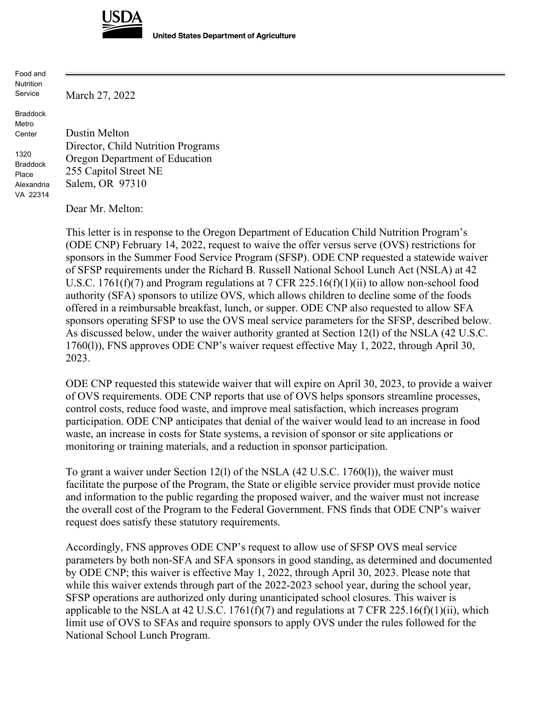

**United States Department of Agriculture** 

Food and Nutrition Service

March 27, 2022

Braddock Metro Center

1320 Braddock Place Alexandria VA 22314

Dustin Melton Director, Child Nutrition Programs Oregon Department of Education 255 Capitol Street NE Salem, OR 97310

Dear Mr. Melton:

This letter is in response to the Oregon Department of Education Child Nutrition Program's (ODE CNP) February 14, 2022, request to waive the offer versus serve (OVS) restrictions for sponsors in the Summer Food Service Program (SFSP). ODE CNP requested a statewide waiver of SFSP requirements under the Richard B. Russell National School Lunch Act (NSLA) at 42 U.S.C. 1761(f)(7) and Program regulations at 7 CFR 225.16(f)(1)(ii) to allow non-school food authority (SFA) sponsors to utilize OVS, which allows children to decline some of the foods offered in a reimbursable breakfast, lunch, or supper. ODE CNP also requested to allow SFA sponsors operating SFSP to use the OVS meal service parameters for the SFSP, described below. As discussed below, under the waiver authority granted at Section 12(l) of the NSLA (42 U.S.C. 1760(l)), FNS approves ODE CNP's waiver request effective May 1, 2022, through April 30, 2023.

ODE CNP requested this statewide waiver that will expire on April 30, 2023, to provide a waiver of OVS requirements. ODE CNP reports that use of OVS helps sponsors streamline processes, control costs, reduce food waste, and improve meal satisfaction, which increases program participation. ODE CNP anticipates that denial of the waiver would lead to an increase in food waste, an increase in costs for State systems, a revision of sponsor or site applications or monitoring or training materials, and a reduction in sponsor participation.

To grant a waiver under Section 12(l) of the NSLA (42 U.S.C. 1760(l)), the waiver must facilitate the purpose of the Program, the State or eligible service provider must provide notice and information to the public regarding the proposed waiver, and the waiver must not increase the overall cost of the Program to the Federal Government. FNS finds that ODE CNP's waiver request does satisfy these statutory requirements.

Accordingly, FNS approves ODE CNP's request to allow use of SFSP OVS meal service parameters by both non-SFA and SFA sponsors in good standing, as determined and documented by ODE CNP; this waiver is effective May 1, 2022, through April 30, 2023. Please note that while this waiver extends through part of the 2022-2023 school year, during the school year, SFSP operations are authorized only during unanticipated school closures. This waiver is applicable to the NSLA at 42 U.S.C. 1761(f)(7) and regulations at 7 CFR 225.16(f)(1)(ii), which limit use of OVS to SFAs and require sponsors to apply OVS under the rules followed for the National School Lunch Program.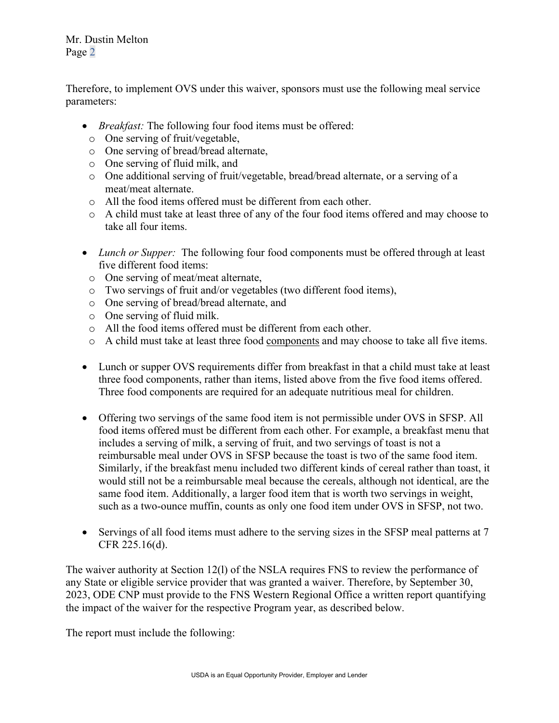Mr. Dustin Melton Page 2

Therefore, to implement OVS under this waiver, sponsors must use the following meal service parameters:

- *Breakfast:* The following four food items must be offered:
- o One serving of fruit/vegetable,
- o One serving of bread/bread alternate,
- o One serving of fluid milk, and
- o One additional serving of fruit/vegetable, bread/bread alternate, or a serving of a meat/meat alternate.
- o All the food items offered must be different from each other.
- o A child must take at least three of any of the four food items offered and may choose to take all four items.
- *Lunch or Supper:* The following four food components must be offered through at least five different food items:
- o One serving of meat/meat alternate,
- o Two servings of fruit and/or vegetables (two different food items),
- o One serving of bread/bread alternate, and
- o One serving of fluid milk.
- o All the food items offered must be different from each other.
- o A child must take at least three food components and may choose to take all five items.
- Lunch or supper OVS requirements differ from breakfast in that a child must take at least three food components, rather than items, listed above from the five food items offered. Three food components are required for an adequate nutritious meal for children.
- Offering two servings of the same food item is not permissible under OVS in SFSP. All food items offered must be different from each other. For example, a breakfast menu that includes a serving of milk, a serving of fruit, and two servings of toast is not a reimbursable meal under OVS in SFSP because the toast is two of the same food item. Similarly, if the breakfast menu included two different kinds of cereal rather than toast, it would still not be a reimbursable meal because the cereals, although not identical, are the same food item. Additionally, a larger food item that is worth two servings in weight, such as a two-ounce muffin, counts as only one food item under OVS in SFSP, not two.
- Servings of all food items must adhere to the serving sizes in the SFSP meal patterns at 7 CFR 225.16(d).

The waiver authority at Section 12(l) of the NSLA requires FNS to review the performance of any State or eligible service provider that was granted a waiver. Therefore, by September 30, 2023, ODE CNP must provide to the FNS Western Regional Office a written report quantifying the impact of the waiver for the respective Program year, as described below.

The report must include the following: